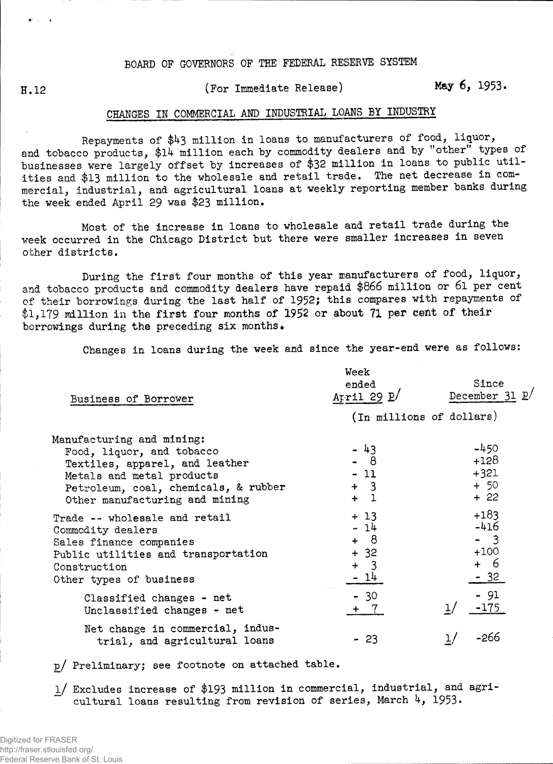## BOARD OF GOVERNORS OF THE FEDERAL RESERVE SYSTEM

 $\theta^{(1)}$  and  $\theta^{(2)}$ 

## H**.12** (For Immediate Release) May **6,** 1953.

## CHANGES IN COMMERCIAL AND INDUSTRIAL LOANS BY INDUSTRY

Repayments of \$43 million in loans to manufacturers of food, liquor, and tobacco products, \$14 million each by commodity dealers and by "other" types of businesses were largely offset by increases of \$32 million in loans to public utilities and \$13 million to the wholesale and retail trade. The net decrease in commercial, industrial, and agricultural loans at weekly reporting member banks during the week ended April 29 was \$23 million.

Most of the increase in loans to wholesale and retail trade during the week occurred in the Chicago District but there were smaller increases in seven other districts.

During the first four months of this year manufacturers of food, liquor, and tobacco products and commodity dealers have repaid \$866 million or 61 per cent of their borrowings during the last half of 1952; this compares with repayments of \$1,179 million in the first four months of 1952 or about 71 per dent of their borrowings during the preceding six months.

Changes in loans during the week and since the year-end were as follows:

| Business of Borrower                                                                                                                                                                            | Week<br>ended<br>April 29 $\underline{p}$ /      | Since<br>December 31 P/                            |  |  |
|-------------------------------------------------------------------------------------------------------------------------------------------------------------------------------------------------|--------------------------------------------------|----------------------------------------------------|--|--|
|                                                                                                                                                                                                 | (In millions of dollars)                         |                                                    |  |  |
| Manufacturing and mining:<br>Food, liquor, and tobacco<br>Textiles, apparel, and leather<br>Metals and metal products<br>Petroleum, coal, chemicals, & rubber<br>Other manufacturing and mining | - 43<br>- 8<br>$-11$<br>$+ 3$<br>$+1$            | $-450$<br>$+128$<br>$+321$<br>$+50$<br>$+22$       |  |  |
| Trade -- wholesale and retail<br>Commodity dealers<br>Sales finance companies<br>Public utilities and transportation<br>Construction<br>Other types of business                                 | $+13$<br>$-14$<br>+ 8<br>$+ 32$<br>$+ 3$<br>- 14 | $+183$<br>$-416$<br>$-3$<br>$+100$<br>+ 6<br>$-32$ |  |  |
| Classified changes - net<br>Unclassified changes - net                                                                                                                                          | $-30$<br>+7                                      | $-91$<br>$-175$<br>$\mathbf{1}$                    |  |  |
| Net change in commercial, indus-<br>trial, and agricultural loans                                                                                                                               | $-23$                                            | -266                                               |  |  |

p/ Preliminary; see footnote on attached table.

l/ Excludes increase of \$193 million in commercial, industrial, and agricultural loans resulting from revision of series, March  $4$ , 1953.